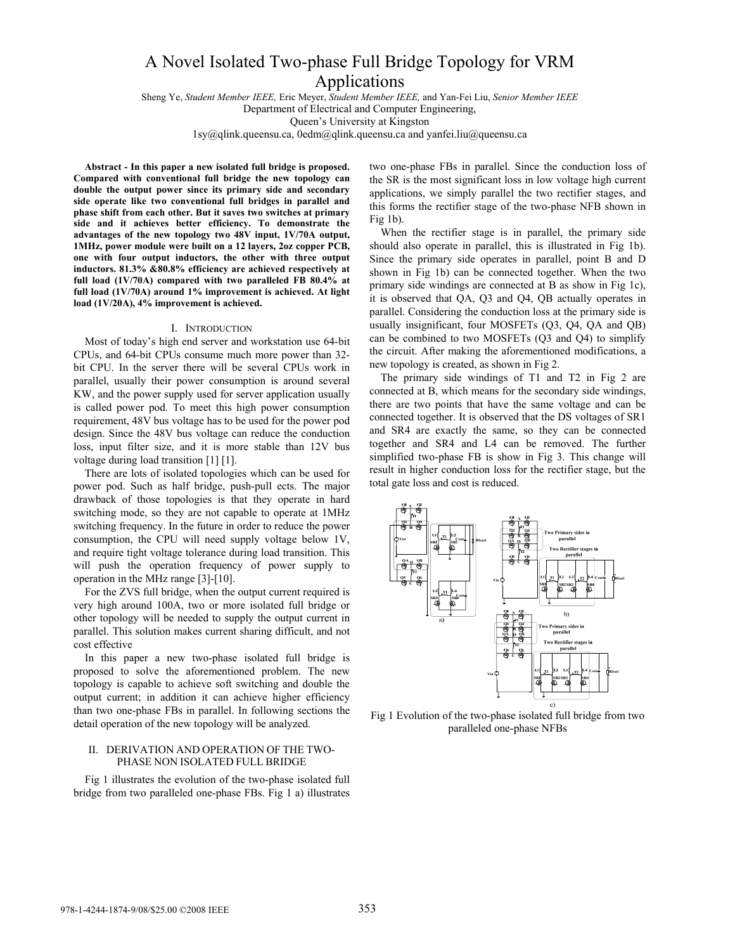# A Novel Isolated Two-phase Full Bridge Topology for VRM Applications

Sheng Ye, *Student Member IEEE,* Eric Meyer, *Student Member IEEE,* and Yan-Fei Liu, *Senior Member IEEE*  Department of Electrical and Computer Engineering,

Queen's University at Kingston

1sy@qlink.queensu.ca, 0edm@qlink.queensu.ca and yanfei.liu@queensu.ca

**Abstract - In this paper a new isolated full bridge is proposed. Compared with conventional full bridge the new topology can double the output power since its primary side and secondary side operate like two conventional full bridges in parallel and phase shift from each other. But it saves two switches at primary side and it achieves better efficiency. To demonstrate the advantages of the new topology two 48V input, 1V/70A output, 1MHz, power module were built on a 12 layers, 2oz copper PCB, one with four output inductors, the other with three output inductors. 81.3% &80.8% efficiency are achieved respectively at full load (1V/70A) compared with two paralleled FB 80.4% at full load (1V/70A) around 1% improvement is achieved. At light load (1V/20A), 4% improvement is achieved.** 

#### I. INTRODUCTION

Most of today's high end server and workstation use 64-bit CPUs, and 64-bit CPUs consume much more power than 32 bit CPU. In the server there will be several CPUs work in parallel, usually their power consumption is around several KW, and the power supply used for server application usually is called power pod. To meet this high power consumption requirement, 48V bus voltage has to be used for the power pod design. Since the 48V bus voltage can reduce the conduction loss, input filter size, and it is more stable than 12V bus voltage during load transition [1] [1].

There are lots of isolated topologies which can be used for power pod. Such as half bridge, push-pull ects. The major drawback of those topologies is that they operate in hard switching mode, so they are not capable to operate at 1MHz switching frequency. In the future in order to reduce the power consumption, the CPU will need supply voltage below 1V, and require tight voltage tolerance during load transition. This will push the operation frequency of power supply to operation in the MHz range [3]-[10].

For the ZVS full bridge, when the output current required is very high around 100A, two or more isolated full bridge or other topology will be needed to supply the output current in parallel. This solution makes current sharing difficult, and not cost effective

In this paper a new two-phase isolated full bridge is proposed to solve the aforementioned problem. The new topology is capable to achieve soft switching and double the output current; in addition it can achieve higher efficiency than two one-phase FBs in parallel. In following sections the detail operation of the new topology will be analyzed.

## II. DERIVATION AND OPERATION OF THE TWO-PHASE NON ISOLATED FULL BRIDGE

Fig 1 illustrates the evolution of the two-phase isolated full bridge from two paralleled one-phase FBs. Fig 1 a) illustrates two one-phase FBs in parallel. Since the conduction loss of the SR is the most significant loss in low voltage high current applications, we simply parallel the two rectifier stages, and this forms the rectifier stage of the two-phase NFB shown in Fig  $1b$ ).

When the rectifier stage is in parallel, the primary side should also operate in parallel, this is illustrated in Fig 1b). Since the primary side operates in parallel, point B and D shown in Fig 1b) can be connected together. When the two primary side windings are connected at B as show in Fig 1c), it is observed that QA, Q3 and Q4, QB actually operates in parallel. Considering the conduction loss at the primary side is usually insignificant, four MOSFETs (Q3, Q4, QA and QB) can be combined to two MOSFETs (Q3 and Q4) to simplify the circuit. After making the aforementioned modifications, a new topology is created, as shown in Fig 2.

The primary side windings of T1 and T2 in Fig 2 are connected at B, which means for the secondary side windings, there are two points that have the same voltage and can be connected together. It is observed that the DS voltages of SR1 and SR4 are exactly the same, so they can be connected together and SR4 and L4 can be removed. The further simplified two-phase FB is show in Fig 3. This change will result in higher conduction loss for the rectifier stage, but the total gate loss and cost is reduced.



Fig 1 Evolution of the two-phase isolated full bridge from two paralleled one-phase NFBs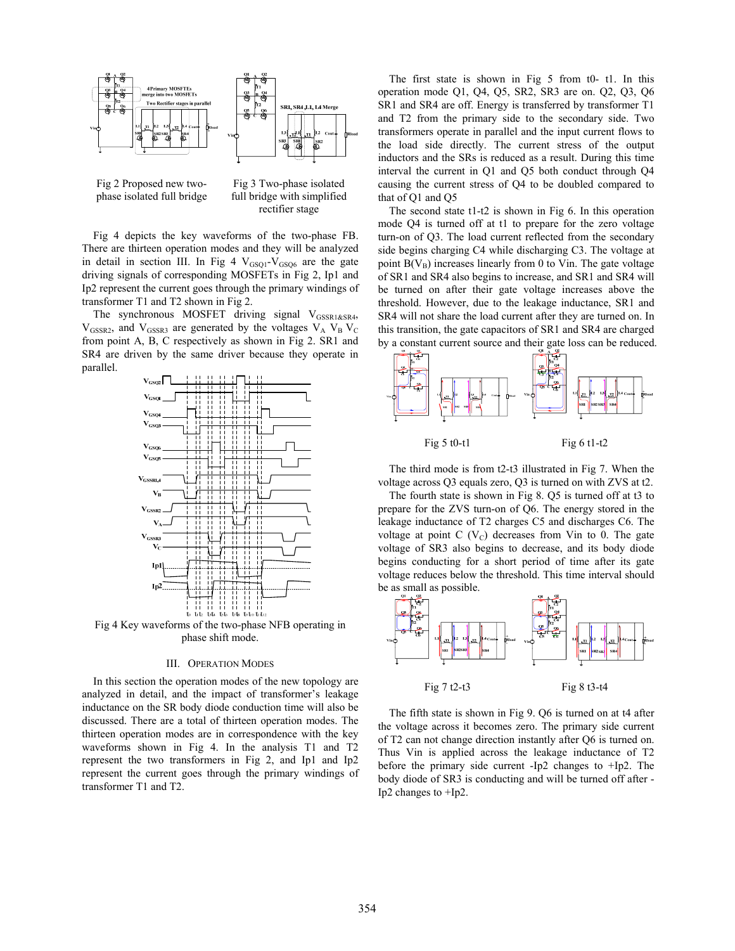

Fig 2 Proposed new twophase isolated full bridge

Fig 3 Two-phase isolated full bridge with simplified rectifier stage

Fig 4 depicts the key waveforms of the two-phase FB. There are thirteen operation modes and they will be analyzed in detail in section III. In Fig 4  $V_{GSO1}$ - $V_{GSO6}$  are the gate driving signals of corresponding MOSFETs in Fig 2, Ip1 and Ip2 represent the current goes through the primary windings of transformer T1 and T2 shown in Fig 2.

The synchronous MOSFET driving signal VGSSR1&SR4,  $V_{GSSR2}$ , and  $V_{GSSR3}$  are generated by the voltages  $V_A$   $V_B$   $V_C$ from point A, B, C respectively as shown in Fig 2. SR1 and SR4 are driven by the same driver because they operate in parallel.



Fig 4 Key waveforms of the two-phase NFB operating in phase shift mode.

#### III. OPERATION MODES

In this section the operation modes of the new topology are analyzed in detail, and the impact of transformer's leakage inductance on the SR body diode conduction time will also be discussed. There are a total of thirteen operation modes. The thirteen operation modes are in correspondence with the key waveforms shown in Fig 4. In the analysis T1 and T2 represent the two transformers in Fig 2, and Ip1 and Ip2 represent the current goes through the primary windings of transformer T1 and T2.

The first state is shown in Fig 5 from t0- t1. In this operation mode Q1, Q4, Q5, SR2, SR3 are on. Q2, Q3, Q6 SR1 and SR4 are off. Energy is transferred by transformer T1 and T2 from the primary side to the secondary side. Two transformers operate in parallel and the input current flows to the load side directly. The current stress of the output inductors and the SRs is reduced as a result. During this time interval the current in Q1 and Q5 both conduct through Q4 causing the current stress of Q4 to be doubled compared to that of Q1 and Q5

The second state t1-t2 is shown in Fig 6. In this operation mode Q4 is turned off at t1 to prepare for the zero voltage turn-on of Q3. The load current reflected from the secondary side begins charging C4 while discharging C3. The voltage at point  $B(V_B)$  increases linearly from 0 to Vin. The gate voltage of SR1 and SR4 also begins to increase, and SR1 and SR4 will be turned on after their gate voltage increases above the threshold. However, due to the leakage inductance, SR1 and SR4 will not share the load current after they are turned on. In this transition, the gate capacitors of SR1 and SR4 are charged by a constant current source and their gate loss can be reduced.



The third mode is from t2-t3 illustrated in Fig 7. When the voltage across Q3 equals zero, Q3 is turned on with ZVS at t2.

The fourth state is shown in Fig 8. Q5 is turned off at t3 to prepare for the ZVS turn-on of Q6. The energy stored in the leakage inductance of T2 charges C5 and discharges C6. The voltage at point C  $(V<sub>C</sub>)$  decreases from Vin to 0. The gate voltage of SR3 also begins to decrease, and its body diode begins conducting for a short period of time after its gate voltage reduces below the threshold. This time interval should be as small as possible.



The fifth state is shown in Fig 9. Q6 is turned on at t4 after the voltage across it becomes zero. The primary side current of T2 can not change direction instantly after Q6 is turned on. Thus Vin is applied across the leakage inductance of T2 before the primary side current -Ip2 changes to +Ip2. The body diode of SR3 is conducting and will be turned off after - Ip2 changes to +Ip2.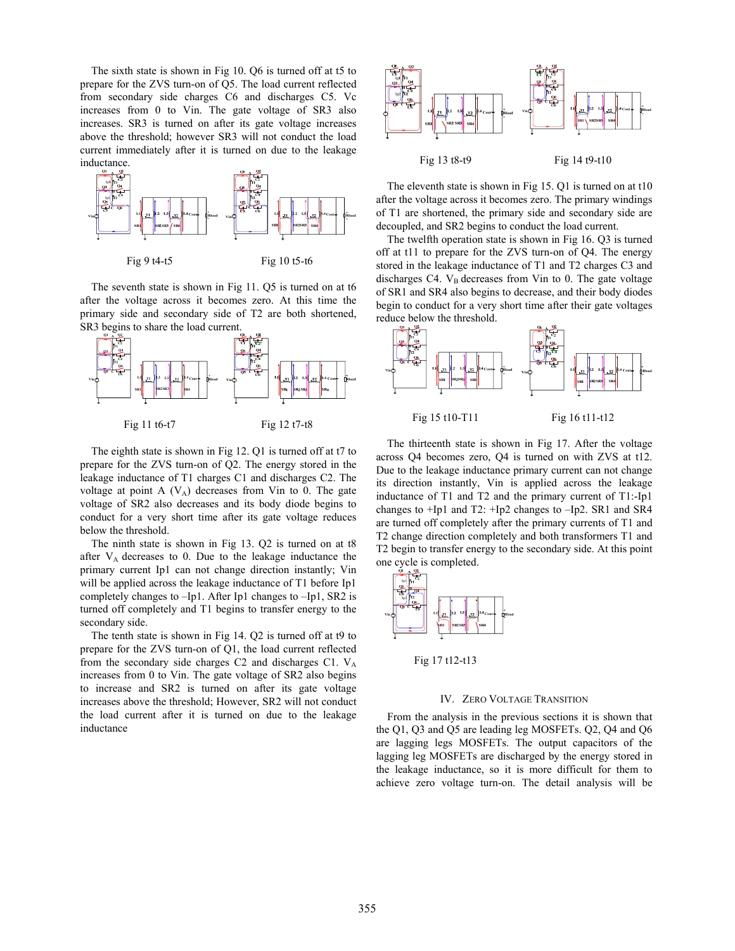The sixth state is shown in Fig 10. Q6 is turned off at t5 to prepare for the ZVS turn-on of Q5. The load current reflected from secondary side charges C6 and discharges C5. Vc increases from 0 to Vin. The gate voltage of SR3 also increases. SR3 is turned on after its gate voltage increases above the threshold; however SR3 will not conduct the load current immediately after it is turned on due to the leakage inductance.



The seventh state is shown in Fig 11. Q5 is turned on at t6 after the voltage across it becomes zero. At this time the primary side and secondary side of T2 are both shortened, SR3 begins to share the load current.



The eighth state is shown in Fig 12. Q1 is turned off at t7 to prepare for the ZVS turn-on of Q2. The energy stored in the leakage inductance of T1 charges C1 and discharges C2. The voltage at point A  $(V_A)$  decreases from Vin to 0. The gate voltage of SR2 also decreases and its body diode begins to conduct for a very short time after its gate voltage reduces below the threshold.

The ninth state is shown in Fig 13. Q2 is turned on at t8 after  $V_A$  decreases to 0. Due to the leakage inductance the primary current Ip1 can not change direction instantly; Vin will be applied across the leakage inductance of T1 before Ip1 completely changes to –Ip1. After Ip1 changes to –Ip1, SR2 is turned off completely and T1 begins to transfer energy to the secondary side.

The tenth state is shown in Fig 14. Q2 is turned off at t9 to prepare for the ZVS turn-on of Q1, the load current reflected from the secondary side charges  $C2$  and discharges  $C1$ .  $V_A$ increases from 0 to Vin. The gate voltage of SR2 also begins to increase and SR2 is turned on after its gate voltage increases above the threshold; However, SR2 will not conduct the load current after it is turned on due to the leakage inductance



The eleventh state is shown in Fig 15. Q1 is turned on at t10 after the voltage across it becomes zero. The primary windings of T1 are shortened, the primary side and secondary side are decoupled, and SR2 begins to conduct the load current.

The twelfth operation state is shown in Fig 16. Q3 is turned off at t11 to prepare for the ZVS turn-on of Q4. The energy stored in the leakage inductance of T1 and T2 charges C3 and discharges C4.  $V_B$  decreases from Vin to 0. The gate voltage of SR1 and SR4 also begins to decrease, and their body diodes begin to conduct for a very short time after their gate voltages reduce below the threshold.



The thirteenth state is shown in Fig 17. After the voltage across Q4 becomes zero, Q4 is turned on with ZVS at t12. Due to the leakage inductance primary current can not change its direction instantly, Vin is applied across the leakage inductance of T1 and T2 and the primary current of T1:-Ip1 changes to +Ip1 and T2: +Ip2 changes to –Ip2. SR1 and SR4 are turned off completely after the primary currents of T1 and T2 change direction completely and both transformers T1 and T2 begin to transfer energy to the secondary side. At this point one cycle is completed.



Fig 17 t12-t13

## IV. ZERO VOLTAGE TRANSITION

From the analysis in the previous sections it is shown that the Q1, Q3 and Q5 are leading leg MOSFETs. Q2, Q4 and Q6 are lagging legs MOSFETs. The output capacitors of the lagging leg MOSFETs are discharged by the energy stored in the leakage inductance, so it is more difficult for them to achieve zero voltage turn-on. The detail analysis will be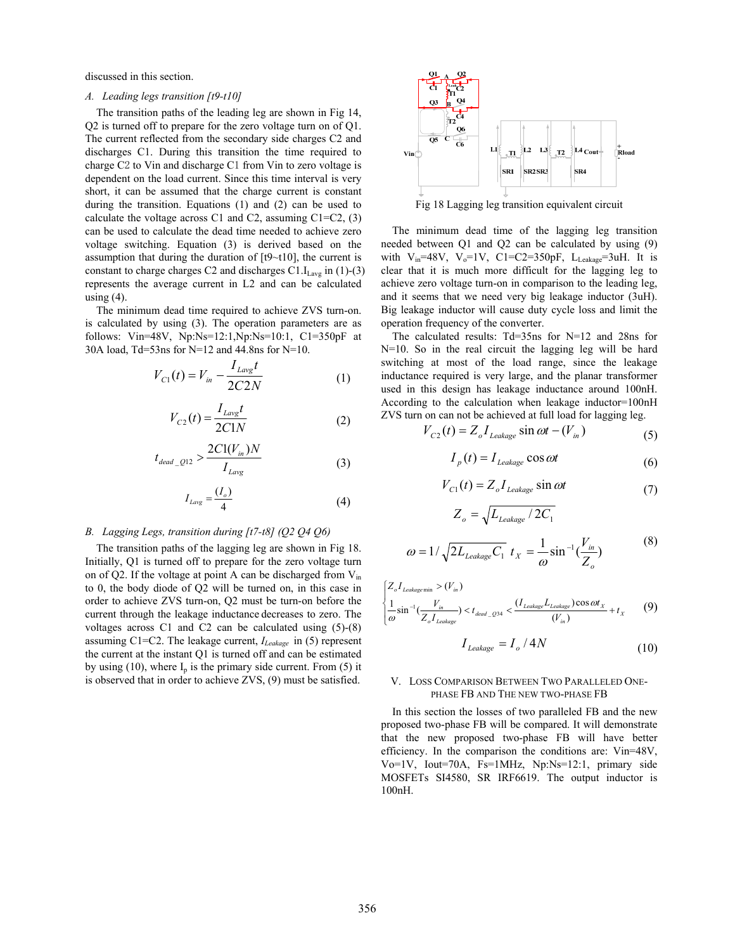discussed in this section.

#### *A. Leading legs transition [t9-t10]*

The transition paths of the leading leg are shown in Fig 14, Q2 is turned off to prepare for the zero voltage turn on of Q1. The current reflected from the secondary side charges C2 and discharges C1. During this transition the time required to charge C2 to Vin and discharge C1 from Vin to zero voltage is dependent on the load current. Since this time interval is very short, it can be assumed that the charge current is constant during the transition. Equations (1) and (2) can be used to calculate the voltage across C1 and C2, assuming  $C1=C2$ , (3) can be used to calculate the dead time needed to achieve zero voltage switching. Equation (3) is derived based on the assumption that during the duration of [t9~t10], the current is constant to charge charges C2 and discharges  $C1.I<sub>Lavg</sub>$  in (1)-(3) represents the average current in L2 and can be calculated using  $(4)$ .

The minimum dead time required to achieve ZVS turn-on. is calculated by using (3). The operation parameters are as follows: Vin=48V, Np:Ns=12:1,Np:Ns=10:1, C1=350pF at 30A load, Td=53ns for N=12 and 44.8ns for N=10.

$$
V_{C1}(t) = V_{in} - \frac{I_{Lavg}t}{2C2N}
$$
 (1)

$$
V_{C2}(t) = \frac{I_{Lavg}t}{2C1N}
$$
 (2)

$$
t_{dead\_Q12} > \frac{2C1(V_{in})N}{I_{Lavg}}
$$
 (3)

$$
I_{Lavg} = \frac{(I_o)}{4} \tag{4}
$$

#### *B. Lagging Legs, transition during [t7-t8] (Q2 Q4 Q6)*

The transition paths of the lagging leg are shown in Fig 18. Initially, Q1 is turned off to prepare for the zero voltage turn on of Q2. If the voltage at point A can be discharged from V<sub>in</sub> to 0, the body diode of Q2 will be turned on, in this case in order to achieve ZVS turn-on, Q2 must be turn-on before the current through the leakage inductance decreases to zero. The voltages across C1 and C2 can be calculated using (5)-(8) assuming C1=C2. The leakage current, *ILeakage* in (5) represent the current at the instant Q1 is turned off and can be estimated by using (10), where  $I_p$  is the primary side current. From (5) it is observed that in order to achieve ZVS, (9) must be satisfied.



Fig 18 Lagging leg transition equivalent circuit

The minimum dead time of the lagging leg transition needed between Q1 and Q2 can be calculated by using (9) with  $V_{in}$ =48V,  $V_0$ =1V, C1=C2=350pF, L<sub>Leakage</sub>=3uH. It is clear that it is much more difficult for the lagging leg to achieve zero voltage turn-on in comparison to the leading leg, and it seems that we need very big leakage inductor (3uH). Big leakage inductor will cause duty cycle loss and limit the operation frequency of the converter.

The calculated results: Td=35ns for N=12 and 28ns for N=10. So in the real circuit the lagging leg will be hard switching at most of the load range, since the leakage inductance required is very large, and the planar transformer used in this design has leakage inductance around 100nH. According to the calculation when leakage inductor=100nH ZVS turn on can not be achieved at full load for lagging leg.

$$
V_{C2}(t) = Z_o I_{\text{Leakage}} \sin \omega t - (V_{in})
$$
\n<sup>(5)</sup>

$$
I_p(t) = I_{\text{Leakage}} \cos \omega t \tag{6}
$$

$$
V_{C1}(t) = Z_o I_{\text{Leakage}} \sin \omega t \tag{7}
$$

$$
Z_o = \sqrt{L_{Leakage}} / 2C_1
$$
  

$$
\omega = 1 / \sqrt{2L_{Leakage}C_1} t_X = \frac{1}{\omega} \sin^{-1}(\frac{V_{in}}{Z_o})
$$
 (8)

$$
\omega \qquad \qquad \mathcal{L}_{o}
$$
\n
$$
Z_{o}I_{\text{Leakagemin}} > (V_{in})
$$
\n
$$
\frac{1}{\sin^{-1}(\frac{V_{in}}{Z_{\text{min}}})} < t_{\text{dead}} \quad \text{Q34} < \frac{(I_{\text{Leakage}}L_{\text{Leakage}})\cos \omega t_{X}}{t_{\text{total}}}\n+ t_{X} \qquad (9)
$$

$$
I_{\text{Leakage}} \qquad (V_{in})
$$
\n
$$
I_{\text{Leakage}} = I_o / 4N \qquad (10)
$$

*X*

## V. LOSS COMPARISON BETWEEN TWO PARALLELED ONE-PHASE FB AND THE NEW TWO-PHASE FB

In this section the losses of two paralleled FB and the new proposed two-phase FB will be compared. It will demonstrate that the new proposed two-phase FB will have better efficiency. In the comparison the conditions are: Vin=48V, Vo=1V, Iout=70A, Fs=1MHz, Np:Ns=12:1, primary side MOSFETs SI4580, SR IRF6619. The output inductor is 100nH.

 $\overline{a}$ l

ω

 $Z_oI$ 

 $\overline{ }$ ⎨ ⎧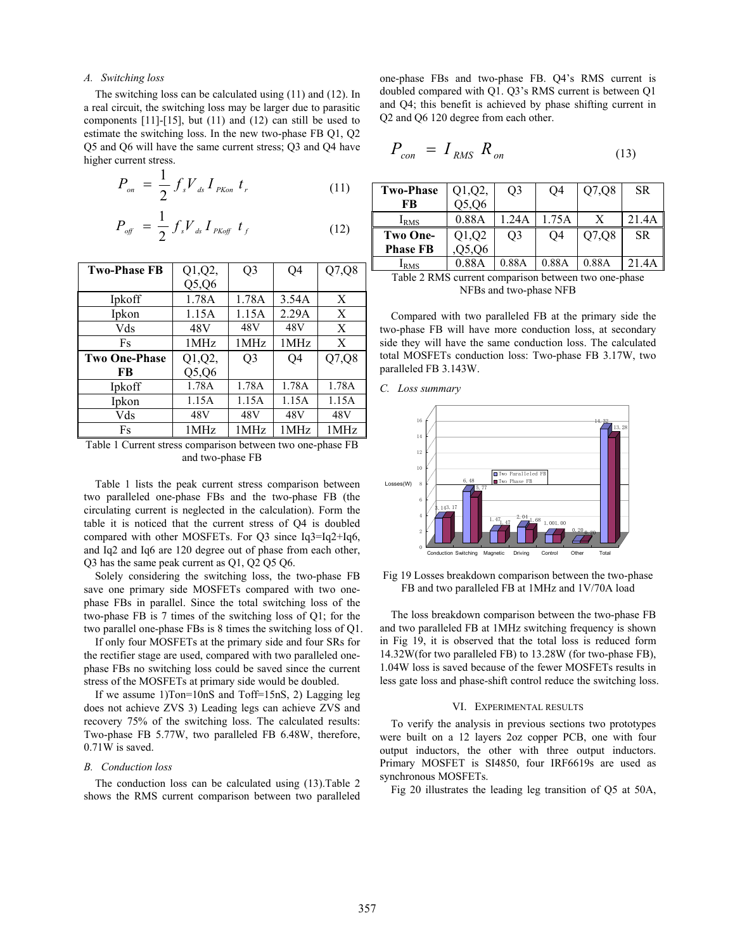## *A. Switching loss*

The switching loss can be calculated using (11) and (12). In a real circuit, the switching loss may be larger due to parasitic components  $[11]$ - $[15]$ , but  $(11)$  and  $(12)$  can still be used to estimate the switching loss. In the new two-phase FB Q1, Q2 Q5 and Q6 will have the same current stress; Q3 and Q4 have higher current stress.

$$
P_{_{on}} = \frac{1}{2} f_s V_{ds} I_{_{PKon}} t_r
$$
 (11)

$$
P_{\text{off}} = \frac{1}{2} f_s V_{ds} I_{\text{PKoff}} t_f \qquad (12)
$$

| <b>Two-Phase FB</b>  | Q1,Q2, | Q <sub>3</sub> | Q <sub>4</sub> | Q7,Q8 |
|----------------------|--------|----------------|----------------|-------|
|                      | Q5,Q6  |                |                |       |
| Ipkoff               | 1.78A  | 1.78A          | 3.54A          | X     |
| Ipkon                | 1.15A  | 1.15A          | 2.29A          | X     |
| Vds                  | 48V    | 48V            | 48V            | X     |
| Fs                   | 1MHz   | 1 MHz          | 1MHz           | X     |
|                      |        |                |                |       |
| <b>Two One-Phase</b> | Q1,Q2, | Q <sub>3</sub> | Q4             | Q7,Q8 |
| FB                   | Q5,Q6  |                |                |       |
| Ipkoff               | 1.78A  | 1.78A          | 1.78A          | 1.78A |
| Ipkon                | 1.15A  | 1.15A          | 1.15A          | 1.15A |
| Vds                  | 48V    | 48V            | 48V            | 48V   |
| Fs                   | 1MHz   | 1 MHz          | 1MHz           | 1MHz  |

Table 1 Current stress comparison between two one-phase FB and two-phase FB

Table 1 lists the peak current stress comparison between two paralleled one-phase FBs and the two-phase FB (the circulating current is neglected in the calculation). Form the table it is noticed that the current stress of Q4 is doubled compared with other MOSFETs. For Q3 since Iq3=Iq2+Iq6, and Iq2 and Iq6 are 120 degree out of phase from each other, Q3 has the same peak current as Q1, Q2 Q5 Q6.

Solely considering the switching loss, the two-phase FB save one primary side MOSFETs compared with two onephase FBs in parallel. Since the total switching loss of the two-phase FB is 7 times of the switching loss of Q1; for the two parallel one-phase FBs is 8 times the switching loss of Q1.

If only four MOSFETs at the primary side and four SRs for the rectifier stage are used, compared with two paralleled onephase FBs no switching loss could be saved since the current stress of the MOSFETs at primary side would be doubled.

If we assume 1)Ton=10nS and Toff=15nS, 2) Lagging leg does not achieve ZVS 3) Leading legs can achieve ZVS and recovery 75% of the switching loss. The calculated results: Two-phase FB 5.77W, two paralleled FB 6.48W, therefore, 0.71W is saved.

# *B. Conduction loss*

The conduction loss can be calculated using (13).Table 2 shows the RMS current comparison between two paralleled one-phase FBs and two-phase FB. Q4's RMS current is doubled compared with Q1. Q3's RMS current is between Q1 and Q4; this benefit is achieved by phase shifting current in Q2 and Q6 120 degree from each other.

$$
P_{con} = I_{RMS} R_{on}
$$
 (13)

| <b>Two-Phase</b> | $Q1,Q2$ , | O3    | Q4    | Q7,Q8 | SR.       |
|------------------|-----------|-------|-------|-------|-----------|
| FB               | 25,06     |       |       |       |           |
| I <sub>RMS</sub> | 0.88A     | .24A  | 1.75A | Х     | 21.4A     |
| <b>Two One-</b>  | Q1,Q2     | O3    | O4    | Q7,Q8 | <b>SR</b> |
| <b>Phase FB</b>  | Q6        |       |       |       |           |
| <b>IRMS</b>      | 0 88A     | 0.88A | 0.88A | 0.88A | 21 4 A    |

Table 2 RMS current comparison between two one-phase NFBs and two-phase NFB

Compared with two paralleled FB at the primary side the two-phase FB will have more conduction loss, at secondary side they will have the same conduction loss. The calculated total MOSFETs conduction loss: Two-phase FB 3.17W, two paralleled FB 3.143W.





Fig 19 Losses breakdown comparison between the two-phase FB and two paralleled FB at 1MHz and 1V/70A load

The loss breakdown comparison between the two-phase FB and two paralleled FB at 1MHz switching frequency is shown in Fig 19, it is observed that the total loss is reduced form 14.32W(for two paralleled FB) to 13.28W (for two-phase FB), 1.04W loss is saved because of the fewer MOSFETs results in less gate loss and phase-shift control reduce the switching loss.

#### VI. EXPERIMENTAL RESULTS

To verify the analysis in previous sections two prototypes were built on a 12 layers 2oz copper PCB, one with four output inductors, the other with three output inductors. Primary MOSFET is SI4850, four IRF6619s are used as synchronous MOSFETs.

Fig 20 illustrates the leading leg transition of Q5 at 50A,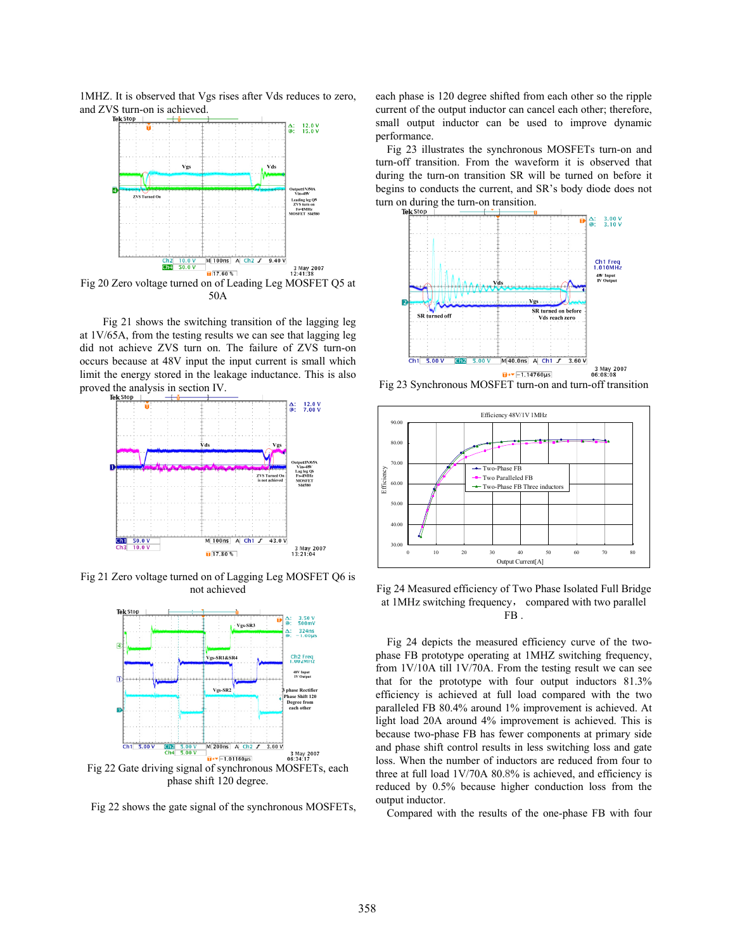1MHZ. It is observed that Vgs rises after Vds reduces to zero, and ZVS turn-on is achieved.



50A

Fig 21 shows the switching transition of the lagging leg at 1V/65A, from the testing results we can see that lagging leg did not achieve ZVS turn on. The failure of ZVS turn-on occurs because at 48V input the input current is small which limit the energy stored in the leakage inductance. This is also proved the analysis in section IV.



Fig 21 Zero voltage turned on of Lagging Leg MOSFET Q6 is not achieved



Fig 22 shows the gate signal of the synchronous MOSFETs,

each phase is 120 degree shifted from each other so the ripple current of the output inductor can cancel each other; therefore, small output inductor can be used to improve dynamic performance.

Fig 23 illustrates the synchronous MOSFETs turn-on and turn-off transition. From the waveform it is observed that during the turn-on transition SR will be turned on before it begins to conducts the current, and SR's body diode does not turn on during the turn-on transition.



Fig 23 Synchronous MOSFET turn-on and turn-off transition



Fig 24 Measured efficiency of Two Phase Isolated Full Bridge at 1MHz switching frequency, compared with two parallel FB.

Fig 24 depicts the measured efficiency curve of the twophase FB prototype operating at 1MHZ switching frequency, from 1V/10A till 1V/70A. From the testing result we can see that for the prototype with four output inductors 81.3% efficiency is achieved at full load compared with the two paralleled FB 80.4% around 1% improvement is achieved. At light load 20A around 4% improvement is achieved. This is because two-phase FB has fewer components at primary side and phase shift control results in less switching loss and gate loss. When the number of inductors are reduced from four to three at full load 1V/70A 80.8% is achieved, and efficiency is reduced by 0.5% because higher conduction loss from the output inductor.

Compared with the results of the one-phase FB with four